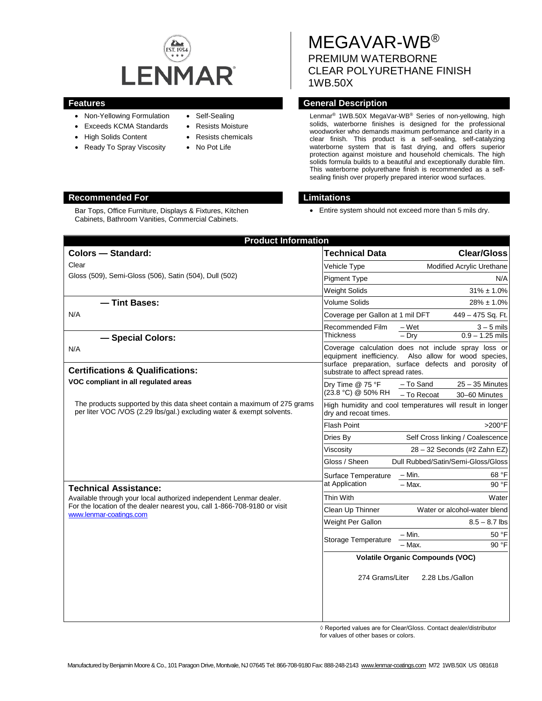

- Non-Yellowing Formulation
- Exceeds KCMA Standards
- High Solids Content
- Ready To Spray Viscosity
- Self-Sealing
- Resists Moisture
	- Resists chemicals
- No Pot Life

# MEGAVAR-WB® PREMIUM WATERBORNE CLEAR POLYURETHANE FINISH 1WB.50X

## **Features General Description**

Lenmar® 1WB.50X MegaVar-WB® Series of non-yellowing, high solids, waterborne finishes is designed for the professional woodworker who demands maximum performance and clarity in a clear finish. This product is a self-sealing, self-catalyzing waterborne system that is fast drying, and offers superior protection against moisture and household chemicals. The high solids formula builds to a beautiful and exceptionally durable film. This waterborne polyurethane finish is recommended as a selfsealing finish over properly prepared interior wood surfaces.

## **Recommended For Limitations**

• Entire system should not exceed more than 5 mils dry.

| <b>Product Information</b>                                                                                                                                                |                                                                                    |                                                                                                                                             |
|---------------------------------------------------------------------------------------------------------------------------------------------------------------------------|------------------------------------------------------------------------------------|---------------------------------------------------------------------------------------------------------------------------------------------|
| <b>Colors - Standard:</b>                                                                                                                                                 | <b>Technical Data</b>                                                              | <b>Clear/Gloss</b>                                                                                                                          |
| Clear                                                                                                                                                                     | Vehicle Type                                                                       | Modified Acrylic Urethane                                                                                                                   |
| Gloss (509), Semi-Gloss (506), Satin (504), Dull (502)                                                                                                                    | <b>Pigment Type</b>                                                                | N/A                                                                                                                                         |
|                                                                                                                                                                           | <b>Weight Solids</b>                                                               | $31\% \pm 1.0\%$                                                                                                                            |
| - Tint Bases:                                                                                                                                                             | Volume Solids                                                                      | $28\% \pm 1.0\%$                                                                                                                            |
| N/A                                                                                                                                                                       | Coverage per Gallon at 1 mil DFT                                                   | 449 - 475 Sq. Ft.                                                                                                                           |
| - Special Colors:                                                                                                                                                         | Recommended Film<br><b>Thickness</b>                                               | $3 - 5$ mils<br>– Wet<br>$0.9 - 1.25$ mils<br>$-$ Dry                                                                                       |
| N/A<br><b>Certifications &amp; Qualifications:</b>                                                                                                                        | equipment inefficiency.                                                            | Coverage calculation does not include spray loss or<br>Also allow for wood species,<br>surface preparation, surface defects and porosity of |
| VOC compliant in all regulated areas                                                                                                                                      | substrate to affect spread rates.<br>$25 - 35$ Minutes<br>- To Sand                |                                                                                                                                             |
|                                                                                                                                                                           | Dry Time @ 75 °F<br>(23.8 °C) @ 50% RH                                             | - To Recoat<br>30-60 Minutes                                                                                                                |
| The products supported by this data sheet contain a maximum of 275 grams<br>per liter VOC /VOS (2.29 lbs/gal.) excluding water & exempt solvents.                         | High humidity and cool temperatures will result in longer<br>dry and recoat times. |                                                                                                                                             |
|                                                                                                                                                                           | <b>Flash Point</b>                                                                 | >200°F                                                                                                                                      |
|                                                                                                                                                                           | Dries By                                                                           | Self Cross linking / Coalescence                                                                                                            |
|                                                                                                                                                                           | Viscosity                                                                          | 28 - 32 Seconds (#2 Zahn EZ)                                                                                                                |
|                                                                                                                                                                           | Dull Rubbed/Satin/Semi-Gloss/Gloss<br>Gloss / Sheen                                |                                                                                                                                             |
|                                                                                                                                                                           | Surface Temperature                                                                | - Min.<br>68 °F                                                                                                                             |
| <b>Technical Assistance:</b>                                                                                                                                              | at Application                                                                     | $-$ Max.<br>90 °F                                                                                                                           |
| Available through your local authorized independent Lenmar dealer.<br>For the location of the dealer nearest you, call 1-866-708-9180 or visit<br>www.lenmar-coatings.com | Thin With                                                                          | Water                                                                                                                                       |
|                                                                                                                                                                           | Clean Up Thinner                                                                   | Water or alcohol-water blend                                                                                                                |
|                                                                                                                                                                           | Weight Per Gallon                                                                  | $8.5 - 8.7$ lbs                                                                                                                             |
|                                                                                                                                                                           | Storage Temperature                                                                | 50 °F<br>– Min.                                                                                                                             |
|                                                                                                                                                                           |                                                                                    | $-$ Max.<br>90 °F                                                                                                                           |
|                                                                                                                                                                           | <b>Volatile Organic Compounds (VOC)</b>                                            |                                                                                                                                             |
|                                                                                                                                                                           | 274 Grams/Liter                                                                    | 2.28 Lbs./Gallon                                                                                                                            |
|                                                                                                                                                                           |                                                                                    |                                                                                                                                             |

◊ Reported values are for Clear/Gloss. Contact dealer/distributor for values of other bases or colors.

Bar Tops, Office Furniture, Displays & Fixtures, Kitchen Cabinets, Bathroom Vanities, Commercial Cabinets.